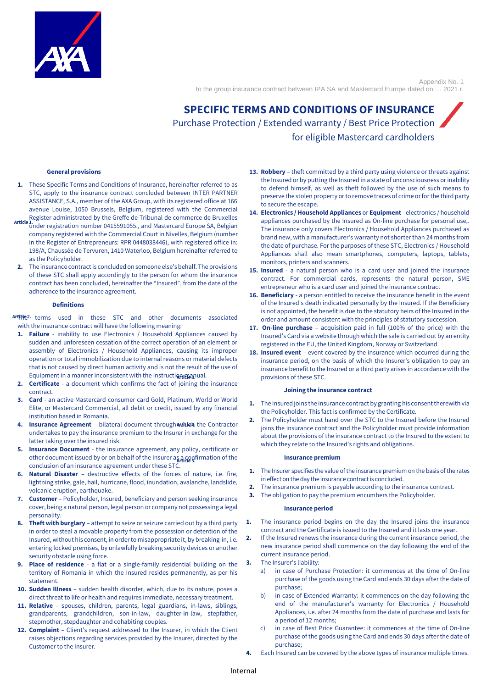

Appendix No. 1 to the group insurance contract between IPA SA and Mastercard Europe dated on … 2021 r.

# **SPECIFIC TERMS AND CONDITIONS OF INSURANCE**  Purchase Protection / Extended warranty / Best Price Protection for eligible Mastercard cardholders

#### **General provisions**

- **1.** These Specific Terms and Conditions of Insurance, hereinafter referred to as STC, apply to the insurance contract concluded between INTER PARTNER ASSISTANCE, S.A., member of the AXA Group, with its registered office at 166 avenue Louise, 1050 Brussels, Belgium, registered with the Commercial
- Register administrated by the Greffe de Tribunal de commerce de Bruxelles  $\rm \bar{u}$ nder registration number 0415591055., and Mastercard Europe SA, Belgian company registered with the Commercial Court in Nivelles, Belgium (number in the Register of Entrepreneurs: RPR 0448038446), with registered office in: 198/A, Chaussée de Tervuren, 1410 Waterloo, Belgium hereinafter referred to as the Policyholder.
- **2.** The insurance contract is concluded on someone else's behalf. The provisions of these STC shall apply accordingly to the person for whom the insurance contract has been concluded, hereinafter the "Insured", from the date of the adherence to the insurance agreement.

#### **Definitions**

Artive<sup>2</sup> terms used in these STC and other documents associated with the insurance contract will have the following meaning:

- **1. Failure** inability to use Electronics / Household Appliances caused by sudden and unforeseen cessation of the correct operation of an element or assembly of Electronics / Household Appliances, causing its improper operation or total immobilization due to internal reasons or material defects that is not caused by direct human activity and is not the result of the use of Equipment in a manner inconsistent with the instruction manual.
- **2. Certificate** a document which confirms the fact of joining the insurance contract.
- **3. Card** an active Mastercard consumer card Gold, Platinum, World or World Elite, or Mastercard Commercial, all debit or credit, issued by any financial institution based in Romania.
- **4. Insurance Agreement** bilateral document through Antivelia the Contractor undertakes to pay the insurance premium to the Insurer in exchange for the latter taking over the insured risk.
- **5. Insurance Document** the insurance agreement, any policy, certificate or other document issued by or on behalf of the Insurer as a confirmation of the conclusion of an insurance agreement under these STC.
- **6. Natural Disaster** destructive effects of the forces of nature, i.e. fire, lightning strike, gale, hail, hurricane, flood, inundation, avalanche, landslide, volcanic eruption, earthquake.
- **7. Customer** Policyholder, Insured, beneficiary and person seeking insurance cover, being a natural person, legal person or company not possessing a legal personality.
- **8. Theft with burglary** attempt to seize or seizure carried out by a third party in order to steal a movable property from the possession or detention of the Insured, without his consent, in order to misappropriate it, by breaking-in, i.e. entering locked premises, by unlawfully breaking security devices or another security obstacle using force.
- **Place of residence** a flat or a single-family residential building on the territory of Romania in which the Insured resides permanently, as per his statement.
- **10. Sudden Illness** sudden health disorder, which, due to its nature, poses a direct threat to life or health and requires immediate, necessary treatment.
- **11. Relative** spouses, children, parents, legal guardians, in-laws, siblings, grandparents, grandchildren, son-in-law, daughter-in-law, stepfather, stepmother, stepdaughter and cohabiting couples.
- **12. Complaint** Client's request addressed to the Insurer, in which the Client raises objections regarding services provided by the Insurer, directed by the Customer to the Insurer.
- **13. Robbery** theft committed by a third party using violence or threats against the Insured or by putting the Insured in a state of unconsciousness or inability to defend himself, as well as theft followed by the use of such means to preserve the stolen property or to remove traces of crime or for the third party to secure the escape.
- **14. Electronics / Household Appliances** or **Equipment**  electronics / household appliances purchased by the Insured as On-line purchase for personal use,. The insurance only covers Electronics / Household Appliances purchased as brand new, with a manufacturer's warranty not shorter than 24 months from the date of purchase. For the purposes of these STC, Electronics / Household Appliances shall also mean smartphones, computers, laptops, tablets, monitors, printers and scanners.
- **15. Insured** a natural person who is a card user and joined the insurance contract. For commercial cards, represents the natural person, SME entrepreneur who is a card user and joined the insurance contract
- **16. Beneficiary** a person entitled to receive the insurance benefit in the event of the Insured's death indicated personally by the Insured. If the Beneficiary is not appointed, the benefit is due to the statutory heirs of the Insured in the order and amount consistent with the principles of statutory succession.
- **17. On-line purchase** acquisition paid in full (100% of the price) with the Insured's Card via a website through which the sale is carried out by an entity registered in the EU, the United Kingdom, Norway or Switzerland.
- **18. Insured event** event covered by the insurance which occurred during the insurance period, on the basis of which the Insurer's obligation to pay an insurance benefit to the Insured or a third party arises in accordance with the provisions of these STC.

#### **Joining the insurance contract**

- **1.** The Insured joins the insurance contract by granting his consent therewith via the Policyholder. This fact is confirmed by the Certificate.
- **2.** The Policyholder must hand over the STC to the Insured before the Insured joins the insurance contract and the Policyholder must provide information about the provisions of the insurance contract to the Insured to the extent to which they relate to the Insured's rights and obligations.

#### **Insurance premium**

- **1.** The Insurer specifies the value of the insurance premium on the basis of the rates in effect on the day the insurance contract is concluded.
- **2.** The insurance premium is payable according to the insurance contract.
- **3.** The obligation to pay the premium encumbers the Policyholder.

#### **Insurance period**

- **1.** The insurance period begins on the day the Insured joins the insurance contract and the Certificate is issued to the Insured and it lasts one year.
- **2.** If the Insured renews the insurance during the current insurance period, the new insurance period shall commence on the day following the end of the current insurance period.
- **3.** The Insurer's liability:
	- a) in case of Purchase Protection: it commences at the time of On-line purchase of the goods using the Card and ends 30 days after the date of purchase;
	- b) in case of Extended Warranty: it commences on the day following the end of the manufacturer's warranty for Electronics / Household Appliances, i.e. after 24 months from the date of purchase and lasts for a period of 12 months;
	- in case of Best Price Guarantee: it commences at the time of On-line purchase of the goods using the Card and ends 30 days after the date of purchase;
- **4.** Each Insured can be covered by the above types of insurance multiple times.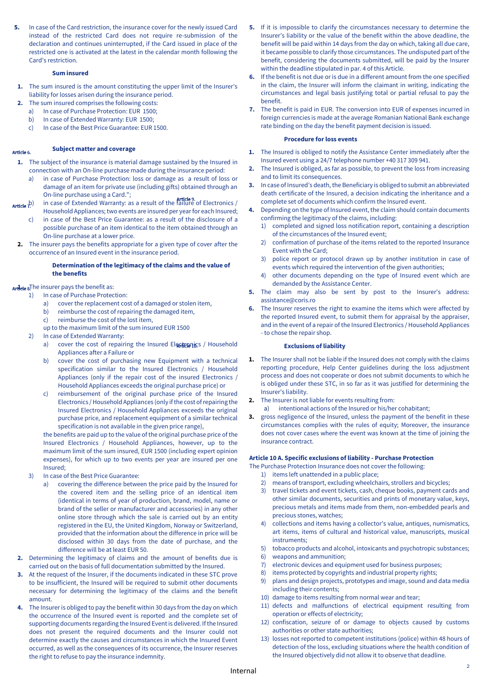**5.** In case of the Card restriction, the insurance cover for the newly issued Card instead of the restricted Card does not require re-submission of the declaration and continues uninterrupted, if the Card issued in place of the restricted one is activated at the latest in the calendar month following the Card's restriction.

#### **Sum insured**

- **1.** The sum insured is the amount constituting the upper limit of the Insurer's liability for losses arisen during the insurance period.
- **2.** The sum insured comprises the following costs:
	- a) In case of Purchase Protection: EUR 1500;<br>b) In case of Extended Warranty: EUR 1500:
	- In case of Extended Warranty: EUR 1500;
	- c) In case of the Best Price Guarantee: EUR 1500.

#### **Subject matter and coverage**  Article 6.

- **1.** The subject of the insurance is material damage sustained by the Insured in connection with an On-line purchase made during the insurance period:
	- a) in case of Purchase Protection: loss or damage as a result of loss or damage of an item for private use (including gifts) obtained through an On-line purchase using a Card.";
- Article 9. in case of Extended Warranty: as a result of the failure of Electronics / Household Appliances; two events are insured per year for each Insured;
	- c) in case of the Best Price Guarantee: as a result of the disclosure of a possible purchase of an item identical to the item obtained through an On-line purchase at a lower price.
	- **2.** The insurer pays the benefits appropriate for a given type of cover after the occurrence of an Insured event in the insurance period.

### **Determination of the legitimacy of the claims and the value of the benefits**

# Artilete 8<sup>The insurer pays the benefit as:</sup>

- 1) In case of Purchase Protection:
	- a) cover the replacement cost of a damaged or stolen item,
	- b) reimburse the cost of repairing the damaged item,
	- c) reimburse the cost of the lost item,
	- up to the maximum limit of the sum insured EUR 1500
- 2) In case of Extended Warranty:
	- a) cover the cost of repairing the Insured Elactronics / Household Appliances after a Failure or
	- b) cover the cost of purchasing new Equipment with a technical specification similar to the Insured Electronics / Household Appliances (only if the repair cost of the insured Electronics / Household Appliances exceeds the original purchase price) or
	- c) reimbursement of the original purchase price of the Insured Electronics / Household Appliances (only if the cost of repairing the Insured Electronics / Household Appliances exceeds the original purchase price, and replacement equipment of a similar technical specification is not available in the given price range),

the benefits are paid up to the value of the original purchase price of the Insured Electronics / Household Appliances, however, up to the maximum limit of the sum insured, EUR 1500 (including expert opinion expenses), for which up to two events per year are insured per one Insured;

- 3) In case of the Best Price Guarantee:
	- a) covering the difference between the price paid by the Insured for the covered item and the selling price of an identical item (identical in terms of year of production, brand, model, name or brand of the seller or manufacturer and accessories) in any other online store through which the sale is carried out by an entity registered in the EU, the United Kingdom, Norway or Switzerland, provided that the information about the difference in price will be disclosed within 30 days from the date of purchase, and the difference will be at least EUR 50.
- **2.** Determining the legitimacy of claims and the amount of benefits due is carried out on the basis of full documentation submitted by the Insured.
- **3.** At the request of the Insurer, if the documents indicated in these STC prove to be insufficient, the Insured will be required to submit other documents necessary for determining the legitimacy of the claims and the benefit amount.
- **4.** The Insurer is obliged to pay the benefit within 30 days from the day on which the occurrence of the Insured event is reported and the complete set of supporting documents regarding the Insured Event is delivered. If the Insured does not present the required documents and the Insurer could not determine exactly the causes and circumstances in which the Insured Event occurred, as well as the consequences of its occurrence, the Insurer reserves the right to refuse to pay the insurance indemnity.
- **5.** If it is impossible to clarify the circumstances necessary to determine the Insurer's liability or the value of the benefit within the above deadline, the benefit will be paid within 14 days from the day on which, taking all due care, it became possible to clarify those circumstances. The undisputed part of the benefit, considering the documents submitted, will be paid by the Insurer within the deadline stipulated in par. 4 of this Article.
- **6.** If the benefit is not due or is due in a different amount from the one specified in the claim, the Insurer will inform the claimant in writing, indicating the circumstances and legal basis justifying total or partial refusal to pay the benefit.
- **7.** The benefit is paid in EUR. The conversion into EUR of expenses incurred in foreign currencies is made at the average Romanian National Bank exchange rate binding on the day the benefit payment decision is issued.

#### **Procedure for loss events**

- **1.** The Insured is obliged to notify the Assistance Center immediately after the Insured event using a 24/7 telephone number +40 317 309 941.
- **2.** The Insured is obliged, as far as possible, to prevent the loss from increasing and to limit its consequences.
- **3.** In case of Insured's death, the Beneficiary is obliged to submit an abbreviated death certificate of the Insured, a decision indicating the inheritance and a complete set of documents which confirm the Insured event.
- **4.** Depending on the type of Insured event, the claim should contain documents confirming the legitimacy of the claims, including:
	- 1) completed and signed loss notification report, containing a description of the circumstances of the Insured event;
	- 2) confirmation of purchase of the items related to the reported Insurance Event with the Card;
	- 3) police report or protocol drawn up by another institution in case of events which required the intervention of the given authorities;
	- 4) other documents depending on the type of Insured event which are demanded by the Assistance Center.
- **5.** The claim may also be sent by post to the Insurer's address: assistance@coris.ro
- **6.** The Insurer reserves the right to examine the items which were affected by the reported Insured event, to submit them for appraisal by the appraiser, and in the event of a repair of the Insured Electronics / Household Appliances - to chose the repair shop.

### **Exclusions of liability**

- **1.** The Insurer shall not be liable if the Insured does not comply with the claims reporting procedure, Help Center guidelines during the loss adjustment process and does not cooperate or does not submit documents to which he is obliged under these STC, in so far as it was justified for determining the Insurer's liability.
- **2.** The Insurer is not liable for events resulting from:
	- a) intentional actions of the Insured or his/her cohabitant;
- **3.** gross negligence of the Insured, unless the payment of the benefit in these circumstances complies with the rules of equity; Moreover, the insurance does not cover cases where the event was known at the time of joining the insurance contract.

#### **Article 10 A. Specific exclusions of liability - Purchase Protection**

The Purchase Protection Insurance does not cover the following:

- 1) items left unattended in a public place;
- 2) means of transport, excluding wheelchairs, strollers and bicycles;
- 3) travel tickets and event tickets, cash, cheque books, payment cards and other similar documents, securities and prints of monetary value, keys, precious metals and items made from them, non-embedded pearls and precious stones, watches;
- 4) collections and items having a collector's value, antiques, numismatics, art items, items of cultural and historical value, manuscripts, musical instruments;
- 5) tobacco products and alcohol, intoxicants and psychotropic substances;
- 6) weapons and ammunition;
- 7) electronic devices and equipment used for business purposes;
- 8) items protected by copyrights and industrial property rights;
- 9) plans and design projects, prototypes and image, sound and data media including their contents;
- 10) damage to items resulting from normal wear and tear;
- 11) defects and malfunctions of electrical equipment resulting from operation or effects of electricity;
- 12) confiscation, seizure of or damage to objects caused by customs authorities or other state authorities;
- 13) losses not reported to competent institutions (police) within 48 hours of detection of the loss, excluding situations where the health condition of the Insured objectively did not allow it to observe that deadline.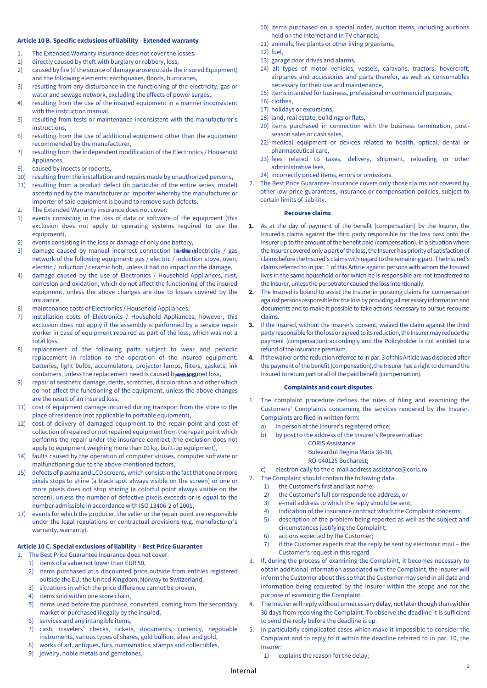#### **Article 10 B. Specific exclusions of liability - Extended warranty**

- 1. The Extended Warranty insurance does not cover the losses:
- 1) directly caused by theft with burglary or robbery, loss,
- 2) caused by fire (if the source of damage arose outside the insured Equipment) and the following elements: earthquakes, floods, hurricanes,
- 3) resulting from any disturbance in the functioning of the electricity, gas or water and sewage network, excluding the effects of power surges,
- 4) resulting from the use of the insured equipment in a manner inconsistent with the instruction manual,
- 5) resulting from tests or maintenance inconsistent with the manufacturer's instructions,
- 6) resulting from the use of additional equipment other than the equipment recommended by the manufacturer,
- 7) resulting from the independent modification of the Electronics / Household Appliances,
- 9) caused by insects or rodents,
- 10) resulting from the installation and repairs made by unauthorized persons,
- 11) resulting from a product defect (in particular of the entire series, model) ascertained by the manufacturer or importer whereby the manufacturer or importer of said equipment is bound to remove such defects.
- 2. The Extended Warranty insurance does not cover:
- 1) events consisting in the loss of data or software of the equipment (this exclusion does not apply to operating systems required to use the equipment).
- 2) events consisting in the loss or damage of only one battery,
- 3) damage caused by manual incorrect connection  $\text{tar}\text{tible}\cdot\text{rel}\right$  (gas network of the following equipment: gas / electric / induction stove, oven, electric / induction / ceramic hob, unless it had no impact on the damage,
- 4) damage caused by the use of Electronics / Household Appliances, rust, corrosion and oxidation, which do not affect the functioning of the insured equipment, unless the above changes are due to losses covered by the insurance,
- 6) maintenance costs of Electronics / Household Appliances,
- 7) installation costs of Electronics / Household Appliances, however, this exclusion does not apply if the assembly is performed by a service repair worker in case of equipment repaired as part of the loss, which was not a total loss,
- 8) replacement of the following parts subject to wear and periodic replacement in relation to the operation of the insured equipment: batteries, light bulbs, accumulators, projector lamps, filters, gaskets, ink containers, unless the replacement need is caused by an insured loss,
- repair of aesthetic damage, dents, scratches, discoloration and other which do not affect the functioning of the equipment, unless the above changes are the result of an insured loss,
- 11) cost of equipment damage incurred during transport from the store to the place of residence (not applicable to portable equipment),
- 12) cost of delivery of damaged equipment to the repair point and cost of collection of repaired or not repaired equipment from the repair point which performs the repair under the insurance contract (the exclusion does not apply to equipment weighing more than 10 kg, built-up equipment),
- 14) faults caused by the operation of computer viruses, computer software or malfunctioning due to the above-mentioned factors,
- 15) defects of plasma and LCD screens, which consist in the fact that one or more pixels stops to shine (a black spot always visible on the screen) or one or more pixels does not stop shining (a colorful point always visible on the screen), unless the number of defective pixels exceeds or is equal to the number admissible in accordance with ISO 13406-2 of 2001,
- 17) events for which the producer, the seller or the repair point are responsible under the legal regulations or contractual provisions (e.g. manufacturer's warranty, warranty).

#### **Article 10 C. Special exclusions of liability – Best Price Guarantee**

- 1. The Best Price Guarantee Insurance does not cover:
- 1) items of a value not lower than EUR 50,
- 2) items purchased at a discounted price outside from entities registered outside the EU, the United Kingdom, Norway to Switzerland,
- 3) situations in which the price difference cannot be proven,
- 4) items sold within one store chain,
- 5) items used before the purchase, converted, coming from the secondary market or purchased illegally by the Insured,
- 6) services and any intangible items,
- 7) cash, travelers' checks, tickets, documents, currency, negotiable instruments, various types of shares, gold bullion, silver and gold,
- 8) works of art, antiques, furs, numismatics, stamps and collectibles,
- 9) jewelry, noble metals and gemstones,
- 10) items purchased on a special order, auction items, including auctions held on the Internet and in TV channels,
- 11) animals, live plants or other living organisms,
- 12) fuel,
- 13) garage door drives and alarms,
- 14) all types of motor vehicles, vessels, caravans, tractors, hovercraft, airplanes and accessories and parts therefor, as well as consumables necessary for their use and maintenance,
- 15) items intended for business, professional or commercial purposes,
- 16) clothes,
- 17) holidays or excursions,
- 18) land, real estate, buildings or flats,
- 20) items purchased in connection with the business termination, postseason sales or cash sales,
- 22) medical equipment or devices related to health, optical, dental or pharmaceutical care,
- 23) fees related to taxes, delivery, shipment, reloading or other administrative fees,
- 24) incorrectly priced items, errors or omissions.
- 2. The Best Price Guarantee Insurance covers only those claims not covered by other low-price guarantees, insurance or compensation policies, subject to certain limits of liability.

#### **Recourse claims**

- **1.** As at the day of payment of the benefit (compensation) by the Insurer, the Insured's claims against the third party responsible for the loss pass onto the Insurer up to the amount of the benefit paid (compensation). In a situation where the Insurer covered only a part of the loss, the Insurerhas priority of satisfaction of claims before the Insured's claims with regard to the remaining part. The Insured's claims referred to in par. 1 of this Article against persons with whom the Insured lives in the same household or for which he is responsible are not transferred to the Insurer, unless the perpetrator caused the loss intentionally.
- **2.** The Insured is bound to assist the Insurer in pursuing claims for compensation against persons responsible for the loss by providing all necessary information and documents and to make it possible to take actions necessary to pursue recourse claims.
- **3.** If the Insured, without the Insurer's consent, waived the claim against the third party responsible for the loss or agreed to its reduction, the Insurer may reduce the payment (compensation) accordingly and the Policyholder is not entitled to a refund of the insurance premium.
- **4.** If the waiver or the reduction referred to in par. 3 of this Article was disclosed after the payment of the benefit (compensation), the Insurer has a right to demand the Insured to return part or all of the paid benefit (compensation).

#### **Complaints and court disputes**

- 1. The complaint procedure defines the rules of filing and examining the Customers' Complaints concerning the services rendered by the Insurer. Complaints are filed in written form:
	- a) in person at the Insurer's registered office;
	- b) by post to the address of the Insurer's Representative:

# CORIS Assistance Bulevardul Regina Maria 36-38,

### RO-040125 Bucharest;

- c) electronically to the e-mail address assistance@coris.ro
- 2. The Complaint should contain the following data:
	- 1) the Customer's first and last name;
	- 2) the Customer's full correspondence address, or
	- 3) e-mail address to which the reply should be sent;
	- 4) indication of the insurance contract which the Complaint concerns;
	- 5) description of the problem being reported as well as the subject and circumstances justifying the Complaint;
	- 6) actions expected by the Customer;
	- 7) if the Customer expects that the reply be sent by electronic mail the Customer's request in this regard.
- 3. If, during the process of examining the Complaint, it becomes necessary to obtain additional information associated with the Complaint, the Insurer will inform the Customer about this so that the Customer may send in all data and information being requested by the Insurer within the scope and for the purpose of examining the Complaint.
- 4. The Insurer will reply without unnecessary delay, not later though than within 30 days from receiving the Complaint. To observe the deadline it is sufficient to send the reply before the deadline is up.
- 5. In particularly complicated cases which make it impossible to consider the Complaint and to reply to it within the deadline referred to in par. 10, the Insurer:
	- 1) explains the reason for the delay;